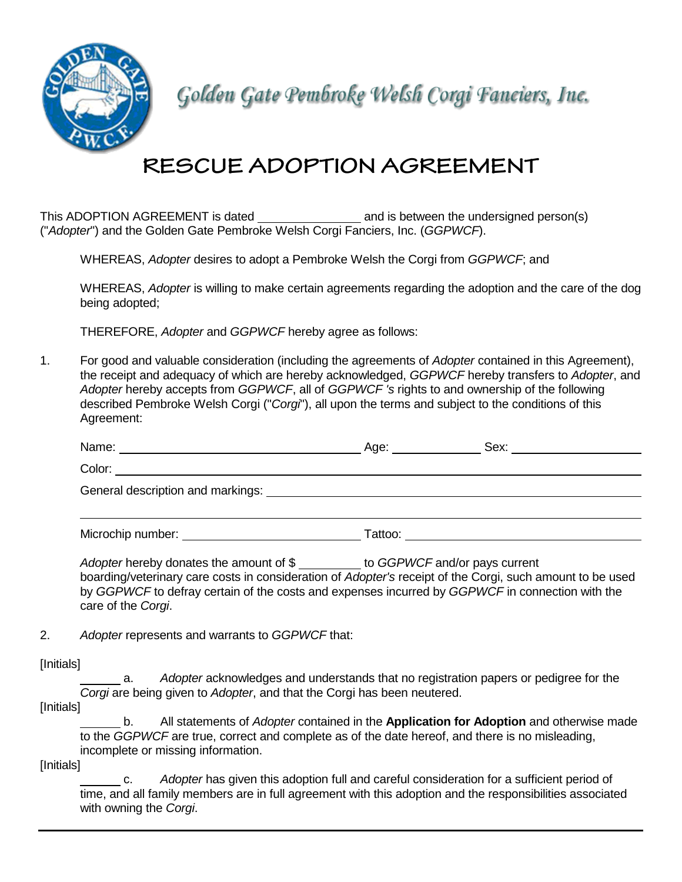

Golden Gate Pembroke Welsh Corgi Fanciers, Inc.

# **RESCUE ADOPTION AGREEMENT**

This ADOPTION AGREEMENT is dated \_\_\_\_\_\_\_\_\_\_\_\_\_\_\_\_\_\_\_\_ and is between the undersigned person(s) ("*Adopter*") and the Golden Gate Pembroke Welsh Corgi Fanciers, Inc. (*GGPWCF*).

WHEREAS, *Adopter* desires to adopt a Pembroke Welsh the Corgi from *GGPWCF*; and

WHEREAS, *Adopter* is willing to make certain agreements regarding the adoption and the care of the dog being adopted;

THEREFORE, *Adopter* and *GGPWCF* hereby agree as follows:

1. For good and valuable consideration (including the agreements of *Adopter* contained in this Agreement), the receipt and adequacy of which are hereby acknowledged, *GGPWCF* hereby transfers to *Adopter*, and *Adopter* hereby accepts from *GGPWCF*, all of *GGPWCF 's* rights to and ownership of the following described Pembroke Welsh Corgi ("*Corgi*"), all upon the terms and subject to the conditions of this Agreement:

|                                                                                                                                | Age: _______________ | Sex: _____________________                                                                                      |  |  |
|--------------------------------------------------------------------------------------------------------------------------------|----------------------|-----------------------------------------------------------------------------------------------------------------|--|--|
| Color:<br><u> 1980 - Jan Samuel Barbara, martin da shekara 1980 - An tsara 1980 - An tsara 1980 - An tsara 1980 - An tsara</u> |                      |                                                                                                                 |  |  |
|                                                                                                                                |                      |                                                                                                                 |  |  |
|                                                                                                                                |                      |                                                                                                                 |  |  |
| Microchip number: Nicrochip number:                                                                                            |                      | Tattoo: will be a series of the contract of the contract of the contract of the contract of the contract of the |  |  |
|                                                                                                                                |                      |                                                                                                                 |  |  |

Adopter hereby donates the amount of \$ boarding/veterinary care costs in consideration of *Adopter's* receipt of the Corgi, such amount to be used by *GGPWCF* to defray certain of the costs and expenses incurred by *GGPWCF* in connection with the care of the *Corgi*.

2. *Adopter* represents and warrants to *GGPWCF* that:

[Initials]

a. *Adopter* acknowledges and understands that no registration papers or pedigree for the *Corgi* are being given to *Adopter*, and that the Corgi has been neutered.

[Initials]

b. All statements of *Adopter* contained in the **Application for Adoption** and otherwise made to the *GGPWCF* are true, correct and complete as of the date hereof, and there is no misleading, incomplete or missing information.

[Initials]

c. *Adopter* has given this adoption full and careful consideration for a sufficient period of time, and all family members are in full agreement with this adoption and the responsibilities associated with owning the *Corgi*.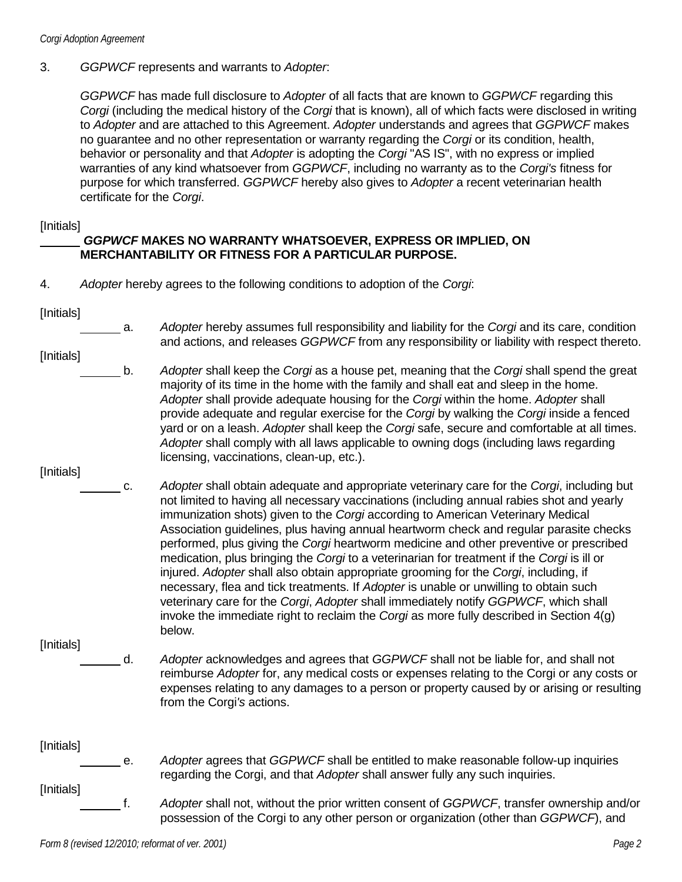#### 3. *GGPWCF* represents and warrants to *Adopter*:

*GGPWCF* has made full disclosure to *Adopter* of all facts that are known to *GGPWCF* regarding this *Corgi* (including the medical history of the *Corgi* that is known), all of which facts were disclosed in writing to *Adopter* and are attached to this Agreement. *Adopter* understands and agrees that *GGPWCF* makes no guarantee and no other representation or warranty regarding the *Corgi* or its condition, health, behavior or personality and that *Adopter* is adopting the *Corgi* "AS IS", with no express or implied warranties of any kind whatsoever from *GGPWCF*, including no warranty as to the *Corgi's* fitness for purpose for which transferred. *GGPWCF* hereby also gives to *Adopter* a recent veterinarian health certificate for the *Corgi*.

#### [Initials]

#### *GGPWCF* **MAKES NO WARRANTY WHATSOEVER, EXPRESS OR IMPLIED, ON MERCHANTABILITY OR FITNESS FOR A PARTICULAR PURPOSE.**

- 4. *Adopter* hereby agrees to the following conditions to adoption of the *Corgi*:
- [Initials]

- a. *Adopter* hereby assumes full responsibility and liability for the *Corgi* and its care, condition and actions, and releases *GGPWCF* from any responsibility or liability with respect thereto.
- [Initials]
	-
- b. *Adopter* shall keep the *Corgi* as a house pet, meaning that the *Corgi* shall spend the great majority of its time in the home with the family and shall eat and sleep in the home. *Adopter* shall provide adequate housing for the *Corgi* within the home. *Adopter* shall provide adequate and regular exercise for the *Corgi* by walking the *Corgi* inside a fenced yard or on a leash. *Adopter* shall keep the *Corgi* safe, secure and comfortable at all times. *Adopter* shall comply with all laws applicable to owning dogs (including laws regarding licensing, vaccinations, clean-up, etc.).
- [Initials]
- c. *Adopter* shall obtain adequate and appropriate veterinary care for the *Corgi*, including but not limited to having all necessary vaccinations (including annual rabies shot and yearly immunization shots) given to the *Corgi* according to American Veterinary Medical Association guidelines, plus having annual heartworm check and regular parasite checks performed, plus giving the *Corgi* heartworm medicine and other preventive or prescribed medication, plus bringing the *Corgi* to a veterinarian for treatment if the *Corgi* is ill or injured. *Adopter* shall also obtain appropriate grooming for the *Corgi*, including, if necessary, flea and tick treatments. If *Adopter* is unable or unwilling to obtain such veterinary care for the *Corgi*, *Adopter* shall immediately notify *GGPWCF*, which shall invoke the immediate right to reclaim the *Corgi* as more fully described in Section 4(g) below.

[Initials]

d. *Adopter* acknowledges and agrees that *GGPWCF* shall not be liable for, and shall not reimburse *Adopter* for, any medical costs or expenses relating to the Corgi or any costs or expenses relating to any damages to a person or property caused by or arising or resulting from the Corgi*'s* actions.

# [Initials]

- 
- [Initials]
- e. *Adopter* agrees that *GGPWCF* shall be entitled to make reasonable follow-up inquiries regarding the Corgi, and that *Adopter* shall answer fully any such inquiries.
- f. *Adopter* shall not, without the prior written consent of *GGPWCF*, transfer ownership and/or possession of the Corgi to any other person or organization (other than *GGPWCF*), and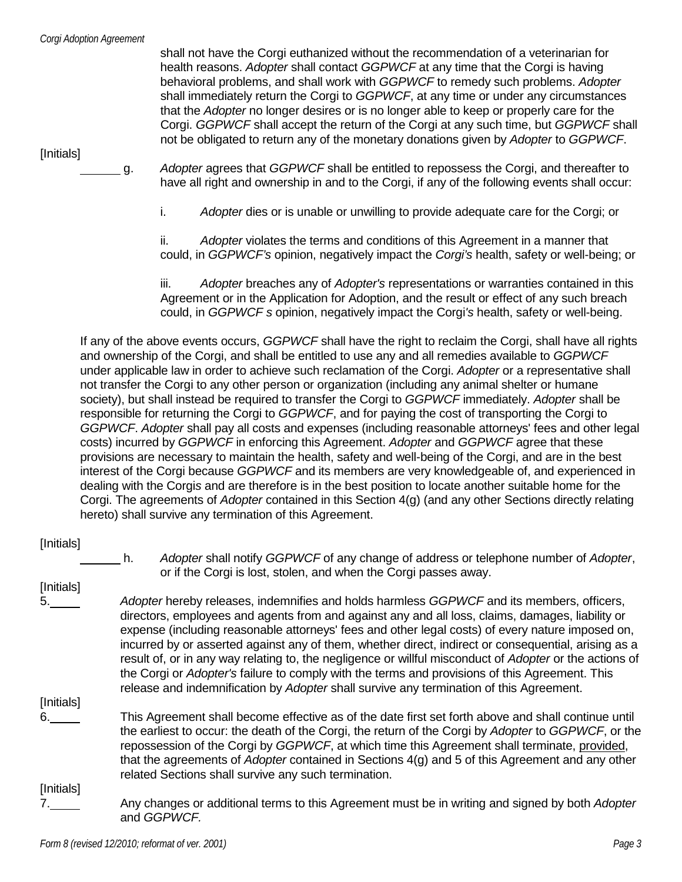shall not have the Corgi euthanized without the recommendation of a veterinarian for health reasons. *Adopter* shall contact *GGPWCF* at any time that the Corgi is having behavioral problems, and shall work with *GGPWCF* to remedy such problems. *Adopter* shall immediately return the Corgi to *GGPWCF*, at any time or under any circumstances that the *Adopter* no longer desires or is no longer able to keep or properly care for the Corgi. *GGPWCF* shall accept the return of the Corgi at any such time, but *GGPWCF* shall not be obligated to return any of the monetary donations given by *Adopter* to *GGPWCF*.

[Initials]

g. *Adopter* agrees that *GGPWCF* shall be entitled to repossess the Corgi, and thereafter to have all right and ownership in and to the Corgi, if any of the following events shall occur:

i. *Adopter* dies or is unable or unwilling to provide adequate care for the Corgi; or

ii. *Adopter* violates the terms and conditions of this Agreement in a manner that could, in *GGPWCF's* opinion, negatively impact the *Corgi's* health, safety or well-being; or

iii. *Adopter* breaches any of *Adopter's* representations or warranties contained in this Agreement or in the Application for Adoption, and the result or effect of any such breach could, in *GGPWCF s* opinion, negatively impact the Corgi*'s* health, safety or well-being.

If any of the above events occurs, *GGPWCF* shall have the right to reclaim the Corgi, shall have all rights and ownership of the Corgi, and shall be entitled to use any and all remedies available to *GGPWCF* under applicable law in order to achieve such reclamation of the Corgi. *Adopter* or a representative shall not transfer the Corgi to any other person or organization (including any animal shelter or humane society), but shall instead be required to transfer the Corgi to *GGPWCF* immediately. *Adopter* shall be responsible for returning the Corgi to *GGPWCF*, and for paying the cost of transporting the Corgi to *GGPWCF*. *Adopter* shall pay all costs and expenses (including reasonable attorneys' fees and other legal costs) incurred by *GGPWCF* in enforcing this Agreement. *Adopter* and *GGPWCF* agree that these provisions are necessary to maintain the health, safety and well-being of the Corgi, and are in the best interest of the Corgi because *GGPWCF* and its members are very knowledgeable of, and experienced in dealing with the Corgi*s* and are therefore is in the best position to locate another suitable home for the Corgi. The agreements of *Adopter* contained in this Section 4(g) (and any other Sections directly relating hereto) shall survive any termination of this Agreement.

### [Initials]

h. *Adopter* shall notify *GGPWCF* of any change of address or telephone number of *Adopter*, or if the Corgi is lost, stolen, and when the Corgi passes away.

[Initials]

5. *Adopter* hereby releases, indemnifies and holds harmless *GGPWCF* and its members, officers, directors, employees and agents from and against any and all loss, claims, damages, liability or expense (including reasonable attorneys' fees and other legal costs) of every nature imposed on, incurred by or asserted against any of them, whether direct, indirect or consequential, arising as a result of, or in any way relating to, the negligence or willful misconduct of *Adopter* or the actions of the Corgi or *Adopter's* failure to comply with the terms and provisions of this Agreement. This release and indemnification by *Adopter* shall survive any termination of this Agreement.

[Initials]

6. This Agreement shall become effective as of the date first set forth above and shall continue until the earliest to occur: the death of the Corgi, the return of the Corgi by *Adopter* to *GGPWCF*, or the repossession of the Corgi by *GGPWCF*, at which time this Agreement shall terminate, provided, that the agreements of *Adopter* contained in Sections 4(g) and 5 of this Agreement and any other related Sections shall survive any such termination.

[Initials]

7. Any changes or additional terms to this Agreement must be in writing and signed by both Adopter and *GGPWCF.*